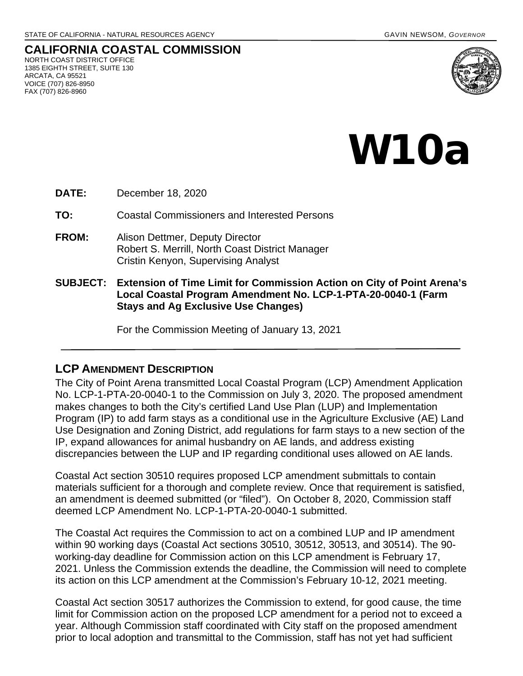**CALIFORNIA COASTAL COMMISSION** NORTH COAST DISTRICT OFFICE 1385 EIGHTH STREET, SUITE 130 ARCATA, CA 95521 VOICE (707) 826-8950 FAX (707) 826-8960



## W10a

**DATE:** December 18, 2020

**TO:** Coastal Commissioners and Interested Persons

- **FROM:** Alison Dettmer, Deputy Director Robert S. Merrill, North Coast District Manager Cristin Kenyon, Supervising Analyst
- **SUBJECT: Extension of Time Limit for Commission Action on City of Point Arena's Local Coastal Program Amendment No. LCP-1-PTA-20-0040-1 (Farm Stays and Ag Exclusive Use Changes)**

For the Commission Meeting of January 13, 2021

## **LCP AMENDMENT DESCRIPTION**

The City of Point Arena transmitted Local Coastal Program (LCP) Amendment Application No. LCP-1-PTA-20-0040-1 to the Commission on July 3, 2020. The proposed amendment makes changes to both the City's certified Land Use Plan (LUP) and Implementation Program (IP) to add farm stays as a conditional use in the Agriculture Exclusive (AE) Land Use Designation and Zoning District, add regulations for farm stays to a new section of the IP, expand allowances for animal husbandry on AE lands, and address existing discrepancies between the LUP and IP regarding conditional uses allowed on AE lands.

Coastal Act section 30510 requires proposed LCP amendment submittals to contain materials sufficient for a thorough and complete review. Once that requirement is satisfied, an amendment is deemed submitted (or "filed"). On October 8, 2020, Commission staff deemed LCP Amendment No. LCP-1-PTA-20-0040-1 submitted.

The Coastal Act requires the Commission to act on a combined LUP and IP amendment within 90 working days (Coastal Act sections 30510, 30512, 30513, and 30514). The 90 working-day deadline for Commission action on this LCP amendment is February 17, 2021. Unless the Commission extends the deadline, the Commission will need to complete its action on this LCP amendment at the Commission's February 10-12, 2021 meeting.

Coastal Act section 30517 authorizes the Commission to extend, for good cause, the time limit for Commission action on the proposed LCP amendment for a period not to exceed a year. Although Commission staff coordinated with City staff on the proposed amendment prior to local adoption and transmittal to the Commission, staff has not yet had sufficient